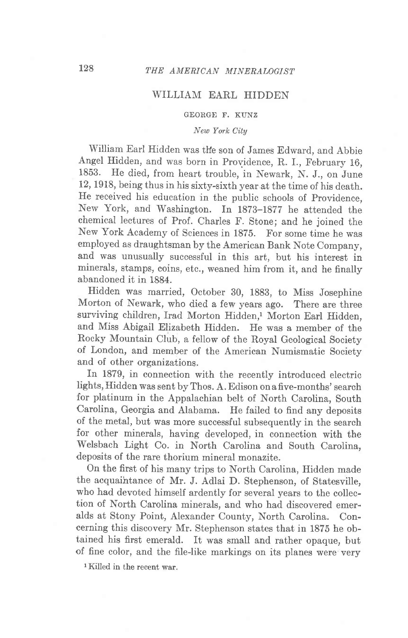## WILLIAM EARL HIDDEN

## GEORGE F. KUNZ

## New York City

William Earl Hidden was the son of James Edward, and Abbie Angel Hidden, and was born in Providence, R. I., February 16, 1853. He died, from heart trouble, in Newark, N. J., on June 12, 1918, being thus in his sixty-sixth year at the time of his death. He received his education in the public schools of Providence, Nerv York, and Washington. In 1873-1877 he attended the chemical lectures of Prof. Charles F. Stone; and he joined the New York Academy of Sciences in 1875. For some time he was employed as draughtsman by the American Bank Note Company, and was unusually successful in this art, but his interest in minerals, stamps, coins, etc., weaned him from it, and he finally abandoned it in 1884.

Hidden was married, October 30, 1888, to Miss Josephine Morton of Newark, who died a few years ago. There are three surviving children, Irad Morton Hidden,<sup>1</sup> Morton Earl Hidden, and Miss Abigail Elizabeth Hidden. He was a member of the Rocky Mountain Club, a fellow of the Royal Geological Society of London, and member of the American Numismatic Society and of other organizations.

In 1879, in connection with the recently introduced electric lights, Hidden was sent by Thos. A. Edison on a five-months' search for platinum in the Appalachian belt of North Carolina, South Carolina, Georgia and Alabama. He failed to find any deposits of the metal, but was more successful subsequently in the search for other minerals, having developed, in connection with the Welsbach Light Co. in North Carolina and South Carolina, deposits of the rare thorium mineral monazite.

On the first of his many trips to North Carolina, Hidden made the acquaihtance of Mr. J. Adlai D. Stephenson, of Statesville, who had devoted himself ardently for several years to the collection of North Carolina minerals, and who had discovered emeralds at Stony Point, Alexander County, North Carolina. Concerning this discovery Mr. Stephenson states that in 1875 he obtained his first emerald. It was small and rather opaque, but of fine color, and the file-like markings on its planes were very

<sup>1</sup>Killed in the recent war.